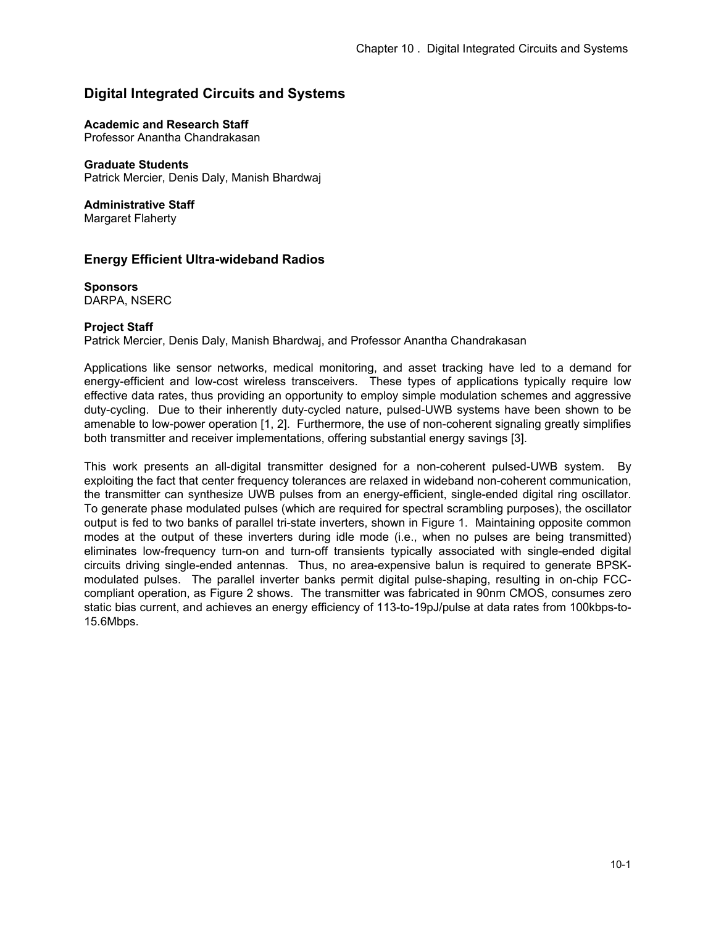# **Digital Integrated Circuits and Systems**

### **Academic and Research Staff**

Professor Anantha Chandrakasan

## **Graduate Students**

Patrick Mercier, Denis Daly, Manish Bhardwaj

**Administrative Staff** 

Margaret Flaherty

# **Energy Efficient Ultra-wideband Radios**

**Sponsors** DARPA, NSERC

### **Project Staff**

Patrick Mercier, Denis Daly, Manish Bhardwaj, and Professor Anantha Chandrakasan

Applications like sensor networks, medical monitoring, and asset tracking have led to a demand for energy-efficient and low-cost wireless transceivers. These types of applications typically require low effective data rates, thus providing an opportunity to employ simple modulation schemes and aggressive duty-cycling. Due to their inherently duty-cycled nature, pulsed-UWB systems have been shown to be amenable to low-power operation [1, 2]. Furthermore, the use of non-coherent signaling greatly simplifies both transmitter and receiver implementations, offering substantial energy savings [3].

This work presents an all-digital transmitter designed for a non-coherent pulsed-UWB system. By exploiting the fact that center frequency tolerances are relaxed in wideband non-coherent communication, the transmitter can synthesize UWB pulses from an energy-efficient, single-ended digital ring oscillator. To generate phase modulated pulses (which are required for spectral scrambling purposes), the oscillator output is fed to two banks of parallel tri-state inverters, shown in Figure 1. Maintaining opposite common modes at the output of these inverters during idle mode (i.e., when no pulses are being transmitted) eliminates low-frequency turn-on and turn-off transients typically associated with single-ended digital circuits driving single-ended antennas. Thus, no area-expensive balun is required to generate BPSKmodulated pulses. The parallel inverter banks permit digital pulse-shaping, resulting in on-chip FCCcompliant operation, as Figure 2 shows. The transmitter was fabricated in 90nm CMOS, consumes zero static bias current, and achieves an energy efficiency of 113-to-19pJ/pulse at data rates from 100kbps-to-15.6Mbps.